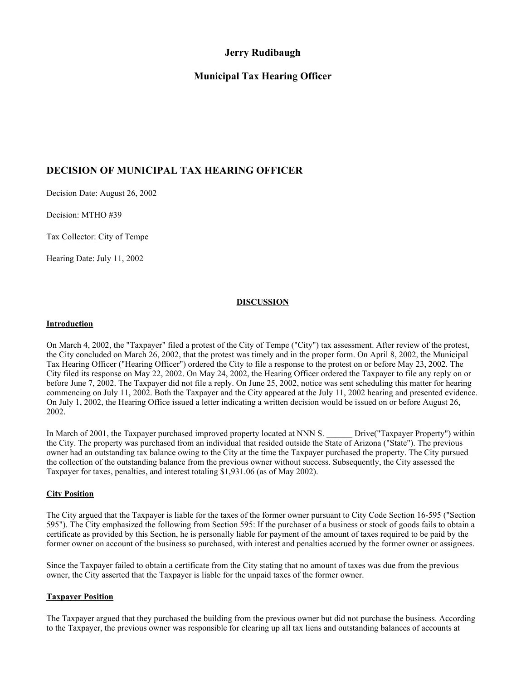# **Jerry Rudibaugh**

# **Municipal Tax Hearing Officer**

# **DECISION OF MUNICIPAL TAX HEARING OFFICER**

Decision Date: August 26, 2002

Decision: MTHO #39

Tax Collector: City of Tempe

Hearing Date: July 11, 2002

# **DISCUSSION**

### **Introduction**

On March 4, 2002, the "Taxpayer" filed a protest of the City of Tempe ("City") tax assessment. After review of the protest, the City concluded on March 26, 2002, that the protest was timely and in the proper form. On April 8, 2002, the Municipal Tax Hearing Officer ("Hearing Officer") ordered the City to file a response to the protest on or before May 23, 2002. The City filed its response on May 22, 2002. On May 24, 2002, the Hearing Officer ordered the Taxpayer to file any reply on or before June 7, 2002. The Taxpayer did not file a reply. On June 25, 2002, notice was sent scheduling this matter for hearing commencing on July 11, 2002. Both the Taxpayer and the City appeared at the July 11, 2002 hearing and presented evidence. On July 1, 2002, the Hearing Office issued a letter indicating a written decision would be issued on or before August 26, 2002.

In March of 2001, the Taxpayer purchased improved property located at NNN S. \_\_\_\_\_\_ Drive("Taxpayer Property") within the City. The property was purchased from an individual that resided outside the State of Arizona ("State"). The previous owner had an outstanding tax balance owing to the City at the time the Taxpayer purchased the property. The City pursued the collection of the outstanding balance from the previous owner without success. Subsequently, the City assessed the Taxpayer for taxes, penalties, and interest totaling \$1,931.06 (as of May 2002).

## **City Position**

The City argued that the Taxpayer is liable for the taxes of the former owner pursuant to City Code Section 16-595 ("Section 595"). The City emphasized the following from Section 595: If the purchaser of a business or stock of goods fails to obtain a certificate as provided by this Section, he is personally liable for payment of the amount of taxes required to be paid by the former owner on account of the business so purchased, with interest and penalties accrued by the former owner or assignees.

Since the Taxpayer failed to obtain a certificate from the City stating that no amount of taxes was due from the previous owner, the City asserted that the Taxpayer is liable for the unpaid taxes of the former owner.

## **Taxpayer Position**

The Taxpayer argued that they purchased the building from the previous owner but did not purchase the business. According to the Taxpayer, the previous owner was responsible for clearing up all tax liens and outstanding balances of accounts at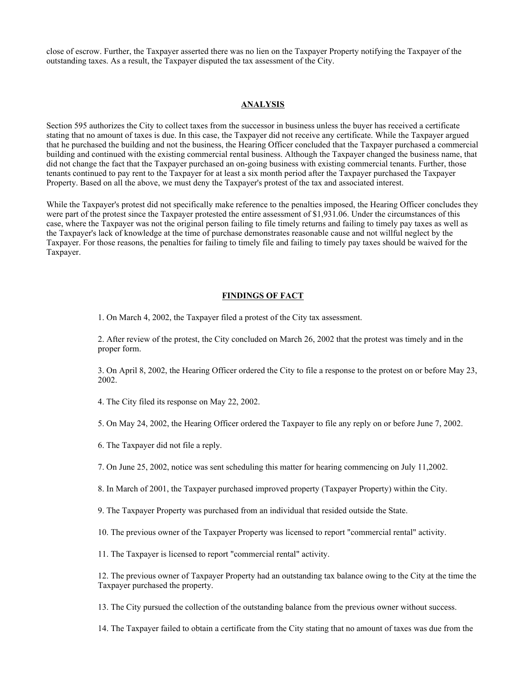close of escrow. Further, the Taxpayer asserted there was no lien on the Taxpayer Property notifying the Taxpayer of the outstanding taxes. As a result, the Taxpayer disputed the tax assessment of the City.

### **ANALYSIS**

Section 595 authorizes the City to collect taxes from the successor in business unless the buyer has received a certificate stating that no amount of taxes is due. In this case, the Taxpayer did not receive any certificate. While the Taxpayer argued that he purchased the building and not the business, the Hearing Officer concluded that the Taxpayer purchased a commercial building and continued with the existing commercial rental business. Although the Taxpayer changed the business name, that did not change the fact that the Taxpayer purchased an on-going business with existing commercial tenants. Further, those tenants continued to pay rent to the Taxpayer for at least a six month period after the Taxpayer purchased the Taxpayer Property. Based on all the above, we must deny the Taxpayer's protest of the tax and associated interest.

While the Taxpayer's protest did not specifically make reference to the penalties imposed, the Hearing Officer concludes they were part of the protest since the Taxpayer protested the entire assessment of \$1,931.06. Under the circumstances of this case, where the Taxpayer was not the original person failing to file timely returns and failing to timely pay taxes as well as the Taxpayer's lack of knowledge at the time of purchase demonstrates reasonable cause and not willful neglect by the Taxpayer. For those reasons, the penalties for failing to timely file and failing to timely pay taxes should be waived for the Taxpayer.

#### **FINDINGS OF FACT**

1. On March 4, 2002, the Taxpayer filed a protest of the City tax assessment.

2. After review of the protest, the City concluded on March 26, 2002 that the protest was timely and in the proper form.

3. On April 8, 2002, the Hearing Officer ordered the City to file a response to the protest on or before May 23, 2002.

4. The City filed its response on May 22, 2002.

5. On May 24, 2002, the Hearing Officer ordered the Taxpayer to file any reply on or before June 7, 2002.

- 6. The Taxpayer did not file a reply.
- 7. On June 25, 2002, notice was sent scheduling this matter for hearing commencing on July 11,2002.
- 8. In March of 2001, the Taxpayer purchased improved property (Taxpayer Property) within the City.

9. The Taxpayer Property was purchased from an individual that resided outside the State.

10. The previous owner of the Taxpayer Property was licensed to report "commercial rental" activity.

11. The Taxpayer is licensed to report "commercial rental" activity.

12. The previous owner of Taxpayer Property had an outstanding tax balance owing to the City at the time the Taxpayer purchased the property.

13. The City pursued the collection of the outstanding balance from the previous owner without success.

14. The Taxpayer failed to obtain a certificate from the City stating that no amount of taxes was due from the